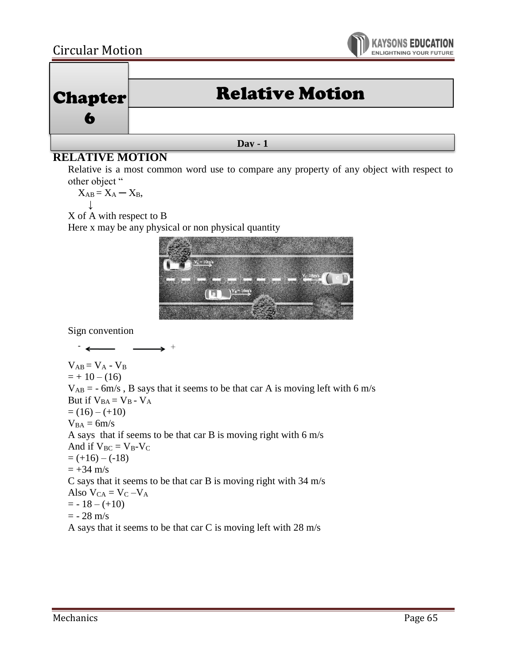## Circular Motion





## **Day - 1**

## **RELATIVE MOTION**

Relative is a most common word use to compare any property of any object with respect to other object "

 $X_{AB} = X_A - X_B$ ↓

X of A with respect to B

Here x may be any physical or non physical quantity



Sign convention

 $\overline{\phantom{a}}$  $\rightarrow$   $^+$  $V_{AB} = V_A - V_B$  $= + 10 - (16)$  $V_{AB} = -6m/s$ , B says that it seems to be that car A is moving left with 6 m/s But if  $V_{BA} = V_B - V_A$  $= (16) - (+10)$  $V_{BA} = 6m/s$ A says that if seems to be that car B is moving right with 6 m/s And if  $V_{BC} = V_B - V_C$  $= (+16) - (-18)$  $= +34$  m/s C says that it seems to be that car B is moving right with 34 m/s Also  $V_{CA} = V_C - V_A$  $= -18 - (+10)$  $= -28$  m/s A says that it seems to be that car C is moving left with 28 m/s